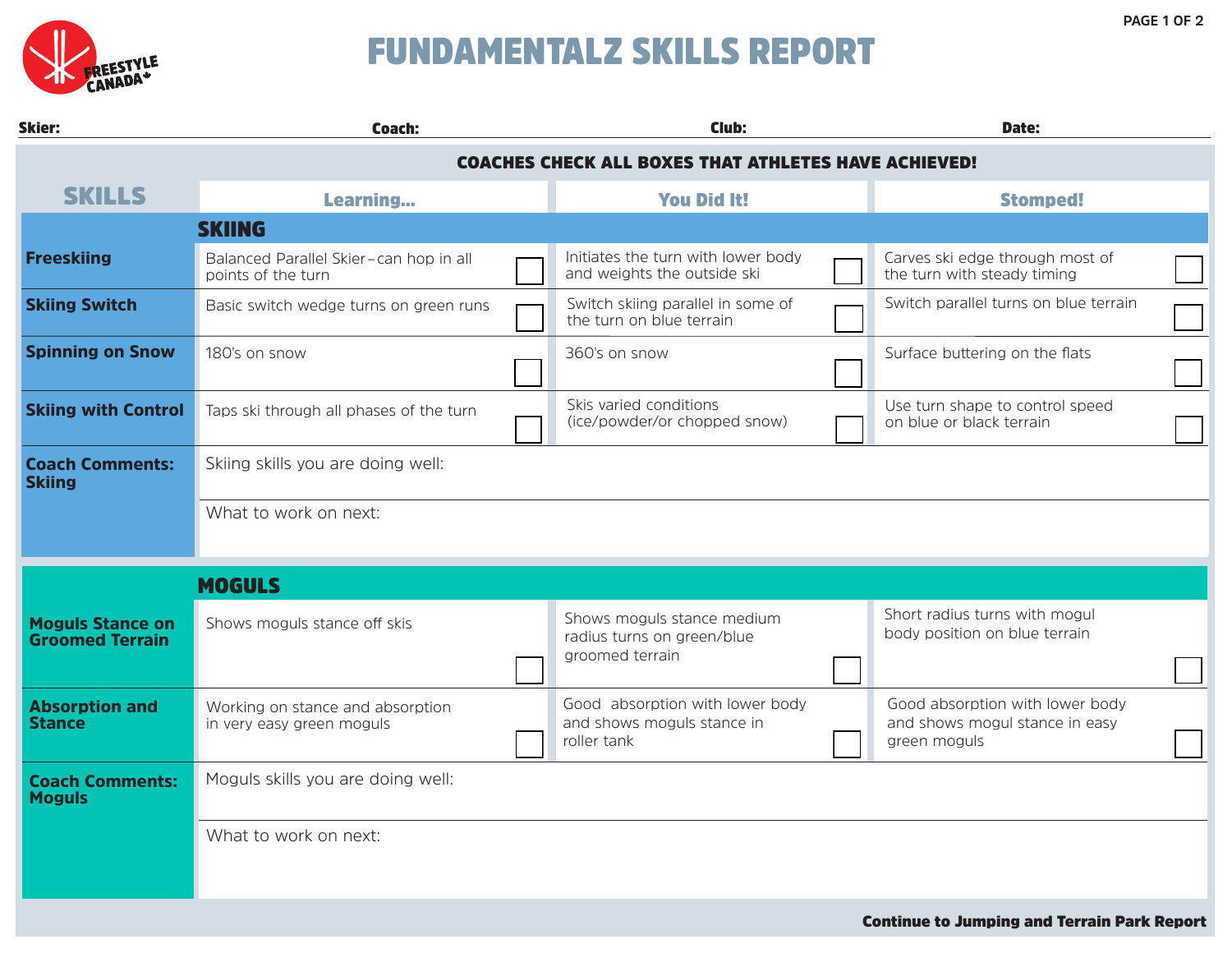

## FUNDAMENTALZ SKILLS REPORT

| <b>Skier:</b>                                     | Coach:                                                        | Club:                                                                        |  | Date:                                                                             |  |  |  |  |  |
|---------------------------------------------------|---------------------------------------------------------------|------------------------------------------------------------------------------|--|-----------------------------------------------------------------------------------|--|--|--|--|--|
|                                                   | <b>COACHES CHECK ALL BOXES THAT ATHLETES HAVE ACHIEVED!</b>   |                                                                              |  |                                                                                   |  |  |  |  |  |
| <b>SKILLS</b>                                     | Learning                                                      | <b>You Did It!</b>                                                           |  | <b>Stomped!</b>                                                                   |  |  |  |  |  |
|                                                   | <b>SKIING</b>                                                 |                                                                              |  |                                                                                   |  |  |  |  |  |
| <b>Freeskiing</b>                                 | Balanced Parallel Skier-can hop in all<br>points of the turn  | Initiates the turn with lower body<br>and weights the outside ski            |  | Carves ski edge through most of<br>the turn with steady timing                    |  |  |  |  |  |
| <b>Skiing Switch</b>                              | Basic switch wedge turns on green runs                        | Switch skiing parallel in some of<br>the turn on blue terrain                |  | Switch parallel turns on blue terrain                                             |  |  |  |  |  |
| <b>Spinning on Snow</b>                           | 180's on snow                                                 | 360's on snow                                                                |  | Surface buttering on the flats                                                    |  |  |  |  |  |
| <b>Skiing with Control</b>                        | Taps ski through all phases of the turn                       | Skis varied conditions<br>(ice/powder/or chopped snow)                       |  | Use turn shape to control speed<br>on blue or black terrain                       |  |  |  |  |  |
| <b>Coach Comments:</b><br><b>Skiing</b>           | Skiing skills you are doing well:                             |                                                                              |  |                                                                                   |  |  |  |  |  |
|                                                   | What to work on next:                                         |                                                                              |  |                                                                                   |  |  |  |  |  |
|                                                   | <b>MOGULS</b>                                                 |                                                                              |  |                                                                                   |  |  |  |  |  |
| <b>Moguls Stance on</b><br><b>Groomed Terrain</b> | Shows moguls stance off skis                                  | Shows moguls stance medium<br>radius turns on green/blue<br>groomed terrain  |  | Short radius turns with mogul<br>body position on blue terrain                    |  |  |  |  |  |
| <b>Absorption and</b><br><b>Stance</b>            | Working on stance and absorption<br>in very easy green moguls | Good absorption with lower body<br>and shows moguls stance in<br>roller tank |  | Good absorption with lower body<br>and shows mogul stance in easy<br>green moguls |  |  |  |  |  |
| <b>Coach Comments:</b><br><b>Moguls</b>           | Moguls skills you are doing well:                             |                                                                              |  |                                                                                   |  |  |  |  |  |
|                                                   | What to work on next:                                         |                                                                              |  |                                                                                   |  |  |  |  |  |